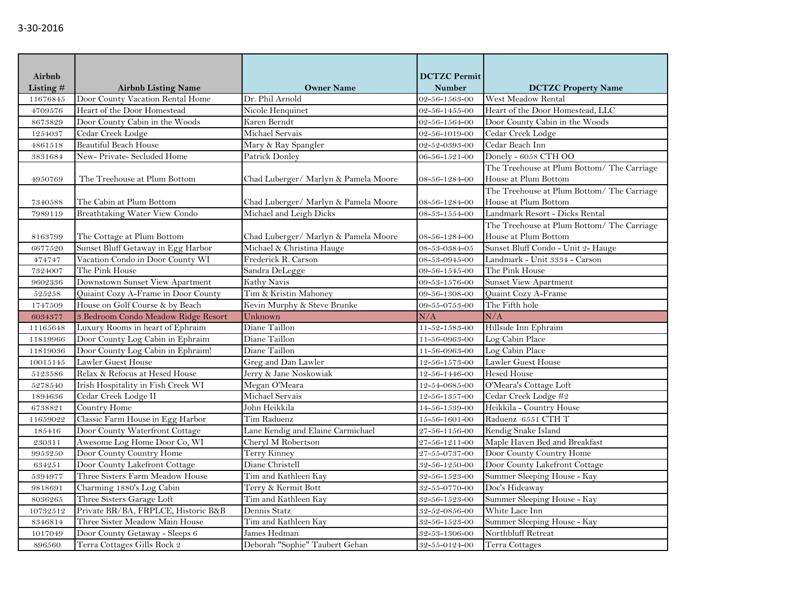| Airbnb    |                                      |                                      | <b>DCTZC Permit</b>   |                                            |  |
|-----------|--------------------------------------|--------------------------------------|-----------------------|--------------------------------------------|--|
| Listing # | <b>Airbnb Listing Name</b>           | <b>Owner Name</b>                    | <b>Number</b>         | <b>DCTZC Property Name</b>                 |  |
| 11676845  | Door County Vacation Rental Home     | Dr. Phil Arnold                      | 02-56-1563-00         | West Meadow Rental                         |  |
| 4709576   | Heart of the Door Homestead          | Nicole Henquinet                     | 02-56-1455-00         | Heart of the Door Homestead, LLC           |  |
| 8673829   | Door County Cabin in the Woods       | Karen Berndt                         | 02-56-1564-00         | Door County Cabin in the Woods             |  |
| 1254037   | Cedar Creek Lodge                    | Michael Servais                      | 02-56-1019-00         | Cedar Creek Lodge                          |  |
| 4861518   | Beautiful Beach House                | Mary & Ray Spangler                  | 02-52-0393-00         | Cedar Beach Inn                            |  |
| 3831684   | New-Private-Secluded Home            | Patrick Donley                       | 06-56-1521-00         | Donely - 6058 CTH OO                       |  |
|           |                                      |                                      |                       | The Treehouse at Plum Bottom/ The Carriage |  |
| 4950769   | The Treehouse at Plum Bottom         | Chad Luberger/ Marlyn & Pamela Moore | 08-56-1284-00         | House at Plum Bottom                       |  |
|           |                                      |                                      |                       | The Treehouse at Plum Bottom/ The Carriage |  |
| 7340588   | The Cabin at Plum Bottom             | Chad Luberger/ Marlyn & Pamela Moore | 08-56-1284-00         | House at Plum Bottom                       |  |
| 7989119   | <b>Breathtaking Water View Condo</b> | Michael and Leigh Dicks              | 08-53-1554-00         | Landmark Resort - Dicks Rental             |  |
|           |                                      |                                      |                       | The Treehouse at Plum Bottom/ The Carriage |  |
| 8163799   | The Cottage at Plum Bottom           | Chad Luberger/ Marlyn & Pamela Moore | 08-56-1284-00         | House at Plum Bottom                       |  |
| 6677520   | Sunset Bluff Getaway in Egg Harbor   | Michael & Christina Hauge            | 08-53-0384-05         | Sunset Bluff Condo - Unit 2- Hauge         |  |
| 474747    | Vacation Condo in Door County WI     | Frederick R. Carson                  | 08-53-0945-00         | Landmark - Unit 3334 - Carson              |  |
| 7324007   | The Pink House                       | Sandra DeLegge                       | 09-56-1545-00         | The Pink House                             |  |
| 9602336   | Downstown Sunset View Apartment      | Kathy Navis                          | 09-53-1576-00         | <b>Sunset View Apartment</b>               |  |
| 525258    | Quiaint Cozy A-Frame in Door County  | Tim & Kristin Mahoney                | 09-56-1308-00         | Quaint Cozy A-Frame                        |  |
| 1747509   | House on Golf Course & by Beach      | Kevin Murphy & Steve Brunke          | 09-55-0753-00         | The Fifth hole                             |  |
| 6034377   | 3 Bedroom Condo Meadow Ridge Resort  | Unknown                              | N/A                   | N/A                                        |  |
| 11165648  | Luxury Rooms in heart of Ephraim     | Diane Taillon                        | 11-52-1583-00         | Hillside Inn Ephraim                       |  |
| 11819966  | Door County Log Cabin in Ephraim     | Diane Taillon                        | 11-56-0963-00         | Log Cabin Place                            |  |
| 11819036  | Door County Log Cabin in Ephraim!    | Diane Taillon                        | 11-56-0963-00         | Log Cabin Place                            |  |
| 10015145  | Lawler Guest House                   | Greg and Dan Lawler                  | 12-56-1573-00         | Lawler Guest House                         |  |
| 5123586   | Relax & Refocus at Hesed House       | Jerry & Jane Noskowiak               | 12-56-1446-00         | <b>Hesed House</b>                         |  |
| 5278540   | Irish Hospitality in Fish Creek WI   | Megan O'Meara                        | 12-54-0685-00         | O'Meara's Cottage Loft                     |  |
| 1894636   | Cedar Creek Lodge II                 | Michael Servais                      | 12-56-1357-00         | Cedar Creek Lodge #2                       |  |
| 6738821   | Country Home                         | John Heikkila                        | 14-56-1539-00         | Heikkila - Country House                   |  |
| 11659022  | Classic Farm House in Egg Harbor     | Tim Raduenz                          | $15 - 56 - 1601 - 00$ | Raduenz 6551 CTH T                         |  |
| 185416    | Door County Waterfront Cottage       | Lane Kendig and Elaine Carmichael    | 27-56-1156-00         | Kendig Snake Island                        |  |
| 230311    | Awesome Log Home Door Co, WI         | Cheryl M Robertson                   | 27-56-1211-00         | Maple Haven Bed and Breakfast              |  |
| 9953250   | Door County Country Home             | Terry Kinney                         | 27-55-0737-00         | Door County Country Home                   |  |
| 634251    | Door County Lakefront Cottage        | Diane Christell                      | 32-56-1250-00         | Door County Lakefront Cottage              |  |
| 5394977   | Three Sisters Farm Meadow House      | Tim and Kathleen Kay                 | 32-56-1523-00         | Summer Sleeping House - Kay                |  |
| 9818691   | Charming 1880's Log Cabin            | Terry & Kermit Bott                  | 32-55-0770-00         | Doc's Hideaway                             |  |
| 8036265   | Three Sisters Garage Loft            | Tim and Kathleen Kay                 | 32-56-1523-00         | Summer Sleeping House - Kay                |  |
| 10732512  | Private BR/BA, FRPLCE, Historic B&B  | Dennis Statz                         | 32-52-0856-00         | White Lace Inn                             |  |
| 8346814   | Three Sister Meadow Main House       | Tim and Kathleen Kay                 | 32-56-1523-00         | Summer Sleeping House - Kay                |  |
| 1017049   | Door County Getaway - Sleeps 6       | James Hedman                         | 32-53-1306-00         | Northbluff Retreat                         |  |
| 896560    | Terra Cottages Gills Rock 2          | Deborah "Sophie" Taubert Gehan       | 32-55-0124-00         | Terra Cottages                             |  |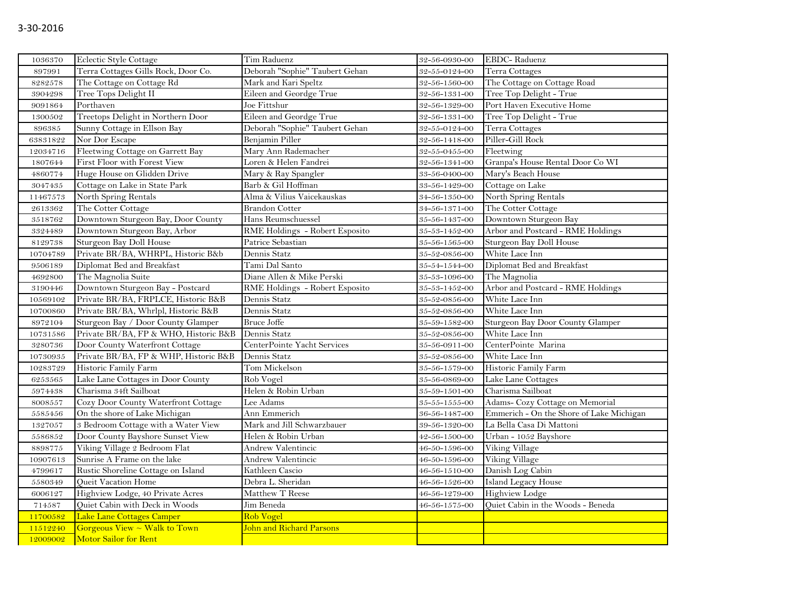| 1036370  | Eclectic Style Cottage                | Tim Raduenz                    | 32-56-0930-00         | EBDC-Raduenz                             |
|----------|---------------------------------------|--------------------------------|-----------------------|------------------------------------------|
| 897991   | Terra Cottages Gills Rock, Door Co.   | Deborah "Sophie" Taubert Gehan | 32-55-0124-00         | Terra Cottages                           |
| 8282578  | The Cottage on Cottage Rd             | Mark and Kari Speltz           | 32-56-1560-00         | The Cottage on Cottage Road              |
| 3904298  | Tree Tops Delight II                  | Eileen and Geordge True        | 32-56-1331-00         | Tree Top Delight - True                  |
| 9091864  | Porthaven                             | Joe Fittshur                   | 32-56-1329-00         | Port Haven Executive Home                |
| 1300502  | Treetops Delight in Northern Door     | Eileen and Geordge True        | 32-56-1331-00         | Tree Top Delight - True                  |
| 896385   | Sunny Cottage in Ellson Bay           | Deborah "Sophie" Taubert Gehan | 32-55-0124-00         | Terra Cottages                           |
| 63831822 | Nor Dor Escape                        | Benjamin Piller                | 32-56-1418-00         | Piller-Gill Rock                         |
| 12034716 | Fleetwing Cottage on Garrett Bay      | Mary Ann Rademacher            | 32-55-0455-00         | Fleetwing                                |
| 1807644  | First Floor with Forest View          | Loren & Helen Fandrei          | 32-56-1341-00         | Granpa's House Rental Door Co WI         |
| 4860774  | Huge House on Glidden Drive           | Mary & Ray Spangler            | 33-56-0400-00         | Mary's Beach House                       |
| 3047435  | Cottage on Lake in State Park         | Barb & Gil Hoffman             | 33-56-1429-00         | Cottage on Lake                          |
| 11467573 | North Spring Rentals                  | Alma & Vilius Vaicekauskas     | 34-56-1350-00         | North Spring Rentals                     |
| 2613362  | The Cotter Cottage                    | <b>Brandon Cotter</b>          | 34-56-1371-00         | The Cotter Cottage                       |
| 3518762  | Downtown Sturgeon Bay, Door County    | Hans Reumschuessel             | $35 - 56 - 1437 - 00$ | Downtown Sturgeon Bay                    |
| 3324489  | Downtown Sturgeon Bay, Arbor          | RME Holdings - Robert Esposito | $35 - 53 - 1452 - 00$ | Arbor and Postcard - RME Holdings        |
| 8129738  | Sturgeon Bay Doll House               | Patrice Sebastian              | $35 - 56 - 1565 - 00$ | Sturgeon Bay Doll House                  |
| 10704789 | Private BR/BA, WHRPL, Historic B&b    | Dennis Statz                   | 35-52-0856-00         | White Lace Inn                           |
| 9506189  | Diplomat Bed and Breakfast            | Tami Dal Santo                 | 35-54-1544-00         | Diplomat Bed and Breakfast               |
| 4692800  | The Magnolia Suite                    | Diane Allen & Mike Perski      | 35-53-1096-00         | The Magnolia                             |
| 3190446  | Downtown Sturgeon Bay - Postcard      | RME Holdings - Robert Esposito | 35-53-1452-00         | Arbor and Postcard - RME Holdings        |
| 10569102 | Private BR/BA, FRPLCE, Historic B&B   | Dennis Statz                   | 35-52-0856-00         | White Lace Inn                           |
| 10700860 | Private BR/BA, Whrlpl, Historic B&B   | Dennis Statz                   | 35-52-0856-00         | White Lace Inn                           |
| 8972104  | Sturgeon Bay / Door County Glamper    | <b>Bruce Joffe</b>             | 35-59-1582-00         | Sturgeon Bay Door County Glamper         |
| 10731586 | Private BR/BA, FP & WHO, Historic B&B | Dennis Statz                   | 35-52-0856-00         | White Lace Inn                           |
| 3280736  | Door County Waterfront Cottage        | CenterPointe Yacht Services    | 35-56-0911-00         | CenterPointe Marina                      |
| 10730935 | Private BR/BA, FP & WHP, Historic B&B | Dennis Statz                   | 35-52-0856-00         | White Lace Inn                           |
| 10283729 | Historic Family Farm                  | Tom Mickelson                  | 35-56-1579-00         | Historic Family Farm                     |
| 6253565  | Lake Lane Cottages in Door County     | Rob Vogel                      | 35-56-0869-00         | Lake Lane Cottages                       |
| 5974438  | Charisma 34ft Sailboat                | Helen & Robin Urban            | 35-59-1501-00         | Charisma Sailboat                        |
| 8008557  | Cozy Door County Waterfront Cottage   | Lee Adams                      | $35 - 55 - 1555 - 00$ | Adams- Cozy Cottage on Memorial          |
| 5585456  | On the shore of Lake Michigan         | Ann Emmerich                   | 36-56-1487-00         | Emmerich - On the Shore of Lake Michigan |
| 1327057  | 3 Bedroom Cottage with a Water View   | Mark and Jill Schwarzbauer     | 39-56-1320-00         | La Bella Casa Di Mattoni                 |
| 5586852  | Door County Bayshore Sunset View      | Helen & Robin Urban            | 42-56-1500-00         | Urban - 1052 Bayshore                    |
| 8898775  | Viking Village 2 Bedroom Flat         | Andrew Valentincic             | 46-50-1596-00         | Viking Village                           |
| 10907613 | Sunrise A Frame on the lake           | Andrew Valentincic             | 46-50-1596-00         | Viking Village                           |
| 4799617  | Rustic Shoreline Cottage on Island    | Kathleen Cascio                | 46-56-1510-00         | Danish Log Cabin                         |
| 5580349  | <b>Oueit Vacation Home</b>            | Debra L. Sheridan              | 46-56-1526-00         | <b>Island Legacy House</b>               |
| 6006127  | Highview Lodge, 40 Private Acres      | Matthew T Reese                | 46-56-1279-00         | Highview Lodge                           |
| 714587   | Quiet Cabin with Deck in Woods        | Jim Beneda                     | 46-56-1575-00         | Quiet Cabin in the Woods - Beneda        |
| 11700582 | Lake Lane Cottages Camper             | <b>Rob Vogel</b>               |                       |                                          |
| 11512240 | Gorgeous View ~ Walk to Town          | John and Richard Parsons       |                       |                                          |
| 12009002 | <b>Motor Sailor for Rent</b>          |                                |                       |                                          |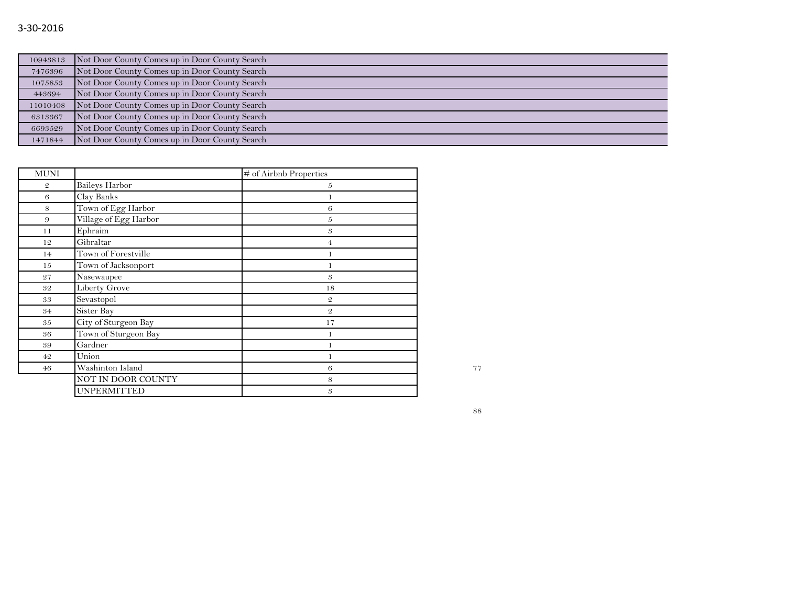## 3-30-2016

| 10943813 | Not Door County Comes up in Door County Search |
|----------|------------------------------------------------|
| 7476396  | Not Door County Comes up in Door County Search |
| 1075853  | Not Door County Comes up in Door County Search |
| 443694   | Not Door County Comes up in Door County Search |
| 11010408 | Not Door County Comes up in Door County Search |
| 6313367  | Not Door County Comes up in Door County Search |
| 6693529  | Not Door County Comes up in Door County Search |
| 1471844  | Not Door County Comes up in Door County Search |

| <b>MUNI</b>    |                       | # of Airbnb Properties     |    |
|----------------|-----------------------|----------------------------|----|
| $\mathfrak{D}$ | <b>Baileys Harbor</b> | 5                          |    |
| 6              | Clay Banks            |                            |    |
| 8              | Town of Egg Harbor    | 6                          |    |
| 9              | Village of Egg Harbor | $\overline{5}$             |    |
| 11             | Ephraim               | 3                          |    |
| 12             | Gibraltar             | 4                          |    |
| 14             | Town of Forestville   | 1                          |    |
| 15             | Town of Jacksonport   |                            |    |
| 27             | Nasewaupee            | $\boldsymbol{\mathcal{S}}$ |    |
| 32             | <b>Liberty Grove</b>  | 18                         |    |
| 33             | Sevastopol            | $\mathfrak{2}$             |    |
| 34             | Sister Bay            | $\mathfrak{D}$             |    |
| 35             | City of Sturgeon Bay  | 17                         |    |
| 36             | Town of Sturgeon Bay  |                            |    |
| 39             | Gardner               |                            |    |
| 42             | Union                 |                            |    |
| 46             | Washinton Island      | 6                          | 77 |
|                | NOT IN DOOR COUNTY    | 8                          |    |
|                | <b>UNPERMITTED</b>    | 3                          |    |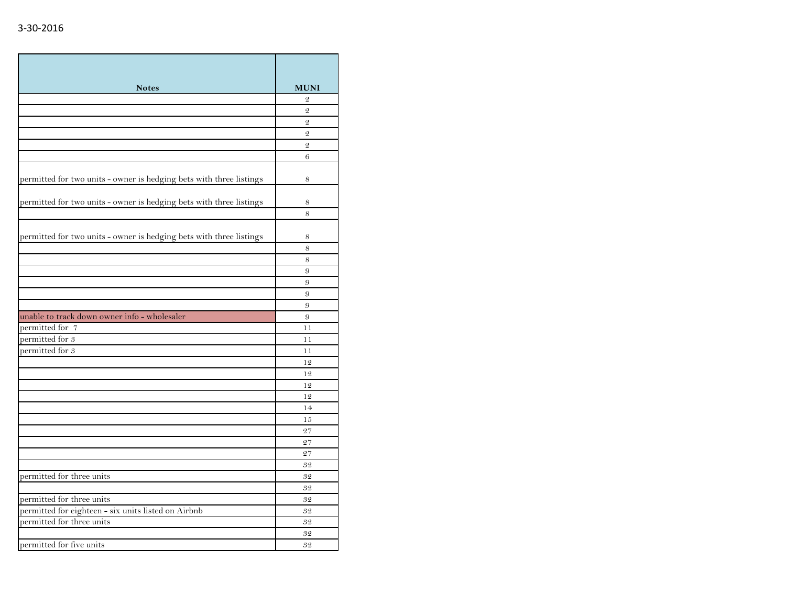| <b>Notes</b>                                                        | <b>MUNI</b>    |
|---------------------------------------------------------------------|----------------|
|                                                                     | $\mathfrak{D}$ |
|                                                                     | $\overline{2}$ |
|                                                                     | $\mathfrak{D}$ |
|                                                                     | $\mathcal{Q}$  |
|                                                                     | $\mathfrak{D}$ |
|                                                                     | 6              |
|                                                                     |                |
| permitted for two units - owner is hedging bets with three listings | 8              |
| permitted for two units - owner is hedging bets with three listings | 8              |
|                                                                     | 8              |
|                                                                     |                |
| permitted for two units - owner is hedging bets with three listings | 8              |
|                                                                     | 8              |
|                                                                     | 8              |
|                                                                     | 9              |
|                                                                     | 9              |
|                                                                     | 9              |
|                                                                     | 9              |
| unable to track down owner info - wholesaler                        | 9              |
| permitted for 7                                                     | 11             |
| permitted for 3                                                     | 11             |
| permitted for $3$                                                   | 11             |
|                                                                     | 12             |
|                                                                     | 12             |
|                                                                     | 12             |
|                                                                     | 12             |
|                                                                     | 14             |
|                                                                     | 15             |
|                                                                     | 27             |
|                                                                     | 27             |
|                                                                     | 27             |
|                                                                     | 32             |
| permitted for three units                                           | 32             |
|                                                                     | 32             |
| permitted for three units                                           | 32             |
| permitted for eighteen - six units listed on Airbnb                 | 32             |
| permitted for three units                                           | 32             |
|                                                                     | 32             |
| permitted for five units                                            | 32             |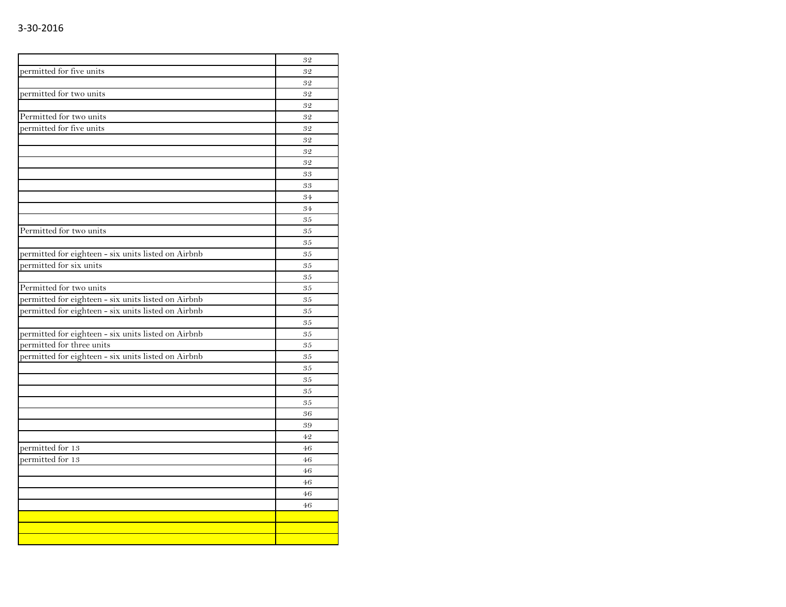|                                                     | 32 |
|-----------------------------------------------------|----|
| permitted for five units                            | 32 |
|                                                     | 32 |
| permitted for two units                             | 32 |
|                                                     | 32 |
| Permitted for two units                             | 32 |
| permitted for five units                            | 32 |
|                                                     | 32 |
|                                                     | 32 |
|                                                     | 32 |
|                                                     | 33 |
|                                                     | 33 |
|                                                     | 34 |
|                                                     | 34 |
|                                                     | 35 |
| Permitted for two units                             | 35 |
|                                                     | 35 |
| permitted for eighteen - six units listed on Airbnb | 35 |
| permitted for six units                             | 35 |
|                                                     | 35 |
| Permitted for two units                             | 35 |
| permitted for eighteen - six units listed on Airbnb | 35 |
| permitted for eighteen - six units listed on Airbnb | 35 |
|                                                     | 35 |
| permitted for eighteen - six units listed on Airbnb | 35 |
| permitted for three units                           | 35 |
| permitted for eighteen - six units listed on Airbnb | 35 |
|                                                     | 35 |
|                                                     | 35 |
|                                                     | 35 |
|                                                     | 35 |
|                                                     | 36 |
|                                                     | 39 |
|                                                     | 42 |
| permitted for 13                                    | 46 |
| permitted for 13                                    | 46 |
|                                                     | 46 |
|                                                     | 46 |
|                                                     | 46 |
|                                                     | 46 |
|                                                     |    |
|                                                     |    |
|                                                     |    |